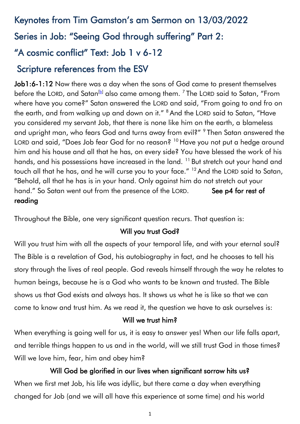# Keynotes from Tim Gamston's am Sermon on 13/03/2022 Series in Job: "Seeing God through suffering" Part 2: "A cosmic conflict" Text: Job 1 v 6-12

### Scripture references from the ESV

Job1:6-1:12 Now there was a day when the sons of God came to present themselves before the LORD, and Satan $^{\rm [b]}$  $^{\rm [b]}$  $^{\rm [b]}$  also came among them.  $^7$  The LORD said to Satan, "From where have you come?" Satan answered the LORD and said, "From going to and fro on the earth, and from walking up and down on it." <sup>8</sup> And the LORD said to Satan, "Have you considered my servant Job, that there is none like him on the earth, a blameless and upright man, who fears God and turns away from evil?" <sup>9</sup> Then Satan answered the LORD and said, "Does Job fear God for no reason? <sup>10</sup> Have you not put a hedge around him and his house and all that he has, on every side? You have blessed the work of his hands, and his possessions have increased in the land.<sup>11</sup> But stretch out your hand and touch all that he has, and he will curse you to your face." <sup>12</sup> And the LORD said to Satan, "Behold, all that he has is in your hand. Only against him do not stretch out your hand." So Satan went out from the presence of the LORD. See p4 for rest of reading

Throughout the Bible, one very significant question recurs. That question is:

### Will you trust God?

Will you trust him with all the aspects of your temporal life, and with your eternal soul? The Bible is a revelation of God, his autobiography in fact, and he chooses to tell his story through the lives of real people. God reveals himself through the way he relates to human beings, because he is a God who wants to be known and trusted. The Bible shows us that God exists and always has. It shows us what he is like so that we can come to know and trust him. As we read it, the question we have to ask ourselves is:

### Will we trust him?

When everything is going well for us, it is easy to answer yes! When our life falls apart, and terrible things happen to us and in the world, will we still trust God in those times? Will we love him, fear, him and obey him?

Will God be glorified in our lives when significant sorrow hits us? When we first met Job, his life was idyllic, but there came a day when everything changed for Job (and we will all have this experience at some time) and his world

1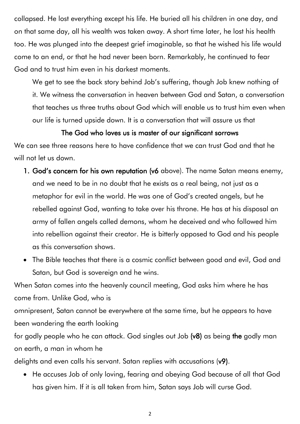collapsed. He lost everything except his life. He buried all his children in one day, and on that same day, all his wealth was taken away. A short time later, he lost his health too. He was plunged into the deepest grief imaginable, so that he wished his life would come to an end, or that he had never been born. Remarkably, he continued to fear God and to trust him even in his darkest moments.

We get to see the back story behind Job's suffering, though Job knew nothing of it. We witness the conversation in heaven between God and Satan, a conversation that teaches us three truths about God which will enable us to trust him even when our life is turned upside down. It is a conversation that will assure us that

### The God who loves us is master of our significant sorrows

We can see three reasons here to have confidence that we can trust God and that he will not let us down.

- 1. God's concern for his own reputation (v6 above). The name Satan means enemy, and we need to be in no doubt that he exists as a real being, not just as a metaphor for evil in the world. He was one of God's created angels, but he rebelled against God, wanting to take over his throne. He has at his disposal an army of fallen angels called demons, whom he deceived and who followed him into rebellion against their creator. He is bitterly opposed to God and his people as this conversation shows.
- The Bible teaches that there is a cosmic conflict between good and evil, God and Satan, but God is sovereign and he wins.

When Satan comes into the heavenly council meeting, God asks him where he has come from. Unlike God, who is

omnipresent, Satan cannot be everywhere at the same time, but he appears to have been wandering the earth looking

for godly people who he can attack. God singles out Job (v8) as being the godly man on earth, a man in whom he

delights and even calls his servant. Satan replies with accusations (v9).

• He accuses Job of only loving, fearing and obeying God because of all that God has given him. If it is all taken from him, Satan says Job will curse God.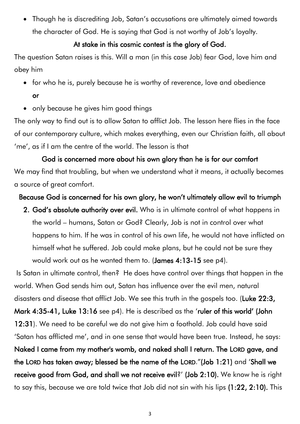• Though he is discrediting Job, Satan's accusations are ultimately aimed towards the character of God. He is saying that God is not worthy of Job's loyalty.

### At stake in this cosmic contest is the glory of God.

The question Satan raises is this. Will a man (in this case Job) fear God, love him and obey him

- for who he is, purely because he is worthy of reverence, love and obedience or
- only because he gives him good things

The only way to find out is to allow Satan to afflict Job. The lesson here flies in the face of our contemporary culture, which makes everything, even our Christian faith, all about 'me', as if I am the centre of the world. The lesson is that

God is concerned more about his own glory than he is for our comfort We may find that troubling, but when we understand what it means, it actually becomes a source of great comfort.

### Because God is concerned for his own glory, he won't ultimately allow evil to triumph

2. God's absolute authority over evil. Who is in ultimate control of what happens in the world – humans, Satan or God? Clearly, Job is not in control over what happens to him. If he was in control of his own life, he would not have inflicted on himself what he suffered. Job could make plans, but he could not be sure they would work out as he wanted them to. (James 4:13-15 see p4).

Is Satan in ultimate control, then? He does have control over things that happen in the world. When God sends him out, Satan has influence over the evil men, natural disasters and disease that afflict Job. We see this truth in the gospels too. (Luke 22:3, Mark 4:35-41, Luke 13:16 see p4). He is described as the 'ruler of this world' (John 12:31). We need to be careful we do not give him a foothold. Job could have said 'Satan has afflicted me', and in one sense that would have been true. Instead, he says: Naked I came from my mother's womb, and naked shall I return. The LORD gave, and the LORD has taken away; blessed be the name of the LORD."(Job 1:21) and 'Shall we receive good from God, and shall we not receive evil?' (Job 2:10). We know he is right to say this, because we are told twice that Job did not sin with his lips (1:22, 2:10). This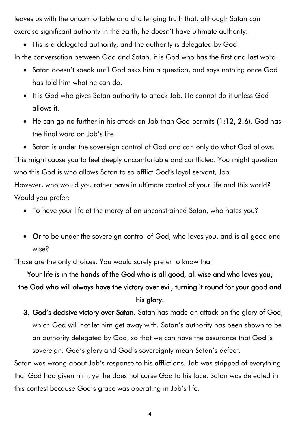leaves us with the uncomfortable and challenging truth that, although Satan can exercise significant authority in the earth, he doesn't have ultimate authority.

• His is a delegated authority, and the authority is delegated by God. In the conversation between God and Satan, it is God who has the first and last word.

- Satan doesn't speak until God asks him a question, and says nothing once God has told him what he can do.
- It is God who gives Satan authority to attack Job. He cannot do it unless God allows it.
- He can go no further in his attack on Job than God permits (1:12, 2:6). God has the final word on Job's life.
- Satan is under the sovereign control of God and can only do what God allows.

This might cause you to feel deeply uncomfortable and conflicted. You might question who this God is who allows Satan to so afflict God's loyal servant, Job.

However, who would you rather have in ultimate control of your life and this world? Would you prefer:

- To have your life at the mercy of an unconstrained Satan, who hates you?
- Or to be under the sovereign control of God, who loves you, and is all good and wise?

Those are the only choices. You would surely prefer to know that

# Your life is in the hands of the God who is all good, all wise and who loves you; the God who will always have the victory over evil, turning it round for your good and his glory.

3. God's decisive victory over Satan. Satan has made an attack on the glory of God, which God will not let him get away with. Satan's authority has been shown to be an authority delegated by God, so that we can have the assurance that God is sovereign. God's glory and God's sovereignty mean Satan's defeat.

Satan was wrong about Job's response to his afflictions. Job was stripped of everything that God had given him, yet he does not curse God to his face. Satan was defeated in this contest because God's grace was operating in Job's life.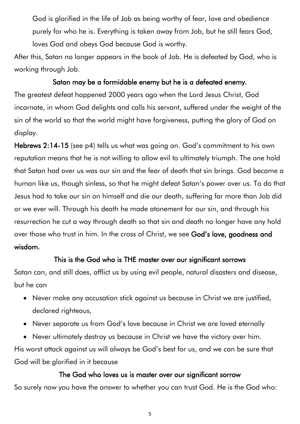God is glorified in the life of Job as being worthy of fear, love and obedience purely for who he is. Everything is taken away from Job, but he still fears God, loves God and obeys God because God is worthy.

After this, Satan no longer appears in the book of Job. He is defeated by God, who is working through Job.

### Satan may be a formidable enemy but he is a defeated enemy.

The greatest defeat happened 2000 years ago when the Lord Jesus Christ, God incarnate, in whom God delights and calls his servant, suffered under the weight of the sin of the world so that the world might have forgiveness, putting the glory of God on display.

Hebrews 2:14-15 (see p4) tells us what was going on. God's commitment to his own reputation means that he is not willing to allow evil to ultimately triumph. The one hold that Satan had over us was our sin and the fear of death that sin brings. God became a human like us, though sinless, so that he might defeat Satan's power over us. To do that Jesus had to take our sin on himself and die our death, suffering far more than Job did or we ever will. Through his death he made atonement for our sin, and through his resurrection he cut a way through death so that sin and death no longer have any hold over those who trust in him. In the cross of Christ, we see God's love, goodness and wisdom.

### This is the God who is THE master over our significant sorrows

Satan can, and still does, afflict us by using evil people, natural disasters and disease, but he can

- Never make any accusation stick against us because in Christ we are justified, declared righteous,
- Never separate us from God's love because in Christ we are loved eternally

• Never ultimately destroy us because in Christ we have the victory over him. His worst attack against us will always be God's best for us, and we can be sure that God will be glorified in it because

### The God who loves us is master over our significant sorrow

So surely now you have the answer to whether you can trust God. He is the God who: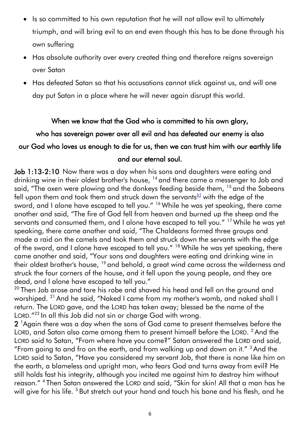- Is so committed to his own reputation that he will not allow evil to ultimately triumph, and will bring evil to an end even though this has to be done through his own suffering
- Has absolute authority over every created thing and therefore reigns sovereign over Satan
- Has defeated Satan so that his accusations cannot stick against us, and will one day put Satan in a place where he will never again disrupt this world.

### When we know that the God who is committed to his own glory,

## who has sovereign power over all evil and has defeated our enemy is also our God who loves us enough to die for us, then we can trust him with our earthly life and our eternal soul.

Job 1:13-2:10 Now there was a day when his sons and daughters were eating and drinking wine in their oldest brother's house, <sup>14</sup> and there came a messenger to Job and said, "The oxen were plowing and the donkeys feeding beside them, <sup>15</sup> and the Sabeans fell upon them and took them and struck down the servants<sup>[\[c\]](https://www.biblegateway.com/passage/?search=Job%201&version=ESV#fen-ESV-12885c)</sup> with the edge of the sword, and I alone have escaped to tell you." <sup>16</sup> While he was yet speaking, there came another and said, "The fire of God fell from heaven and burned up the sheep and the servants and consumed them, and I alone have escaped to tell you." <sup>17</sup> While he was yet speaking, there came another and said, "The Chaldeans formed three groups and made a raid on the camels and took them and struck down the servants with the edge of the sword, and I alone have escaped to tell you." <sup>18</sup> While he was yet speaking, there came another and said, "Your sons and daughters were eating and drinking wine in their oldest brother's house, <sup>19</sup> and behold, a great wind came across the wilderness and struck the four corners of the house, and it fell upon the young people, and they are dead, and I alone have escaped to tell you."

 $20$  Then Job arose and tore his robe and shaved his head and fell on the ground and worshiped. <sup>21</sup> And he said, "Naked I came from my mother's womb, and naked shall I return. The LORD gave, and the LORD has taken away; blessed be the name of the LORD."<sup>22</sup> In all this Job did not sin or charge God with wrong.

2<sup>1</sup>Again there was a day when the sons of God came to present themselves before the LORD, and Satan also came among them to present himself before the LORD. <sup>2</sup> And the LORD said to Satan, "From where have you come?" Satan answered the LORD and said, "From going to and fro on the earth, and from walking up and down on it." <sup>3</sup> And the LORD said to Satan, "Have you considered my servant Job, that there is none like him on the earth, a blameless and upright man, who fears God and turns away from evil? He still holds fast his integrity, although you incited me against him to destroy him without reason." <sup>4</sup> Then Satan answered the LORD and said, "Skin for skin! All that a man has he will give for his life. <sup>5</sup> But stretch out your hand and touch his bone and his flesh, and he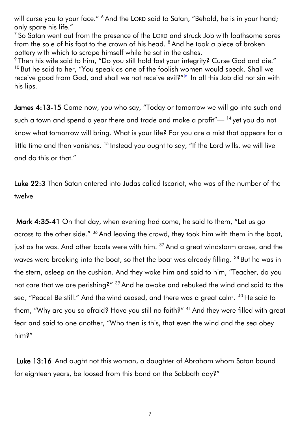will curse you to your face." <sup>6</sup> And the LORD said to Satan, "Behold, he is in your hand; only spare his life."

 $7$  So Satan went out from the presence of the LORD and struck Job with loathsome sores from the sole of his foot to the crown of his head. <sup>8</sup> And he took a piece of broken pottery with which to scrape himself while he sat in the ashes.

 $^{\rm 9}$ Then his wife said to him, "Do you still hold fast your integrity? Curse God and die." <sup>10</sup> But he said to her, "You speak as one of the foolish women would speak. Shall we receive good from God, and shall we not receive evil?"<sup>[<u>a</u>]</sup> In all this Job did not sin with his lips.

James 4:13-15 Come now, you who say, "Today or tomorrow we will go into such and such a town and spend a year there and trade and make a profit"—  $14$  yet you do not know what tomorrow will bring. What is your life? For you are a mist that appears for a little time and then vanishes. <sup>15</sup> Instead you ought to say, "If the Lord wills, we will live and do this or that."

Luke 22:3 Then Satan entered into Judas called Iscariot, who was of the number of the twelve

 Mark 4:35-41 On that day, when evening had come, he said to them, "Let us go across to the other side." <sup>36</sup> And leaving the crowd, they took him with them in the boat, just as he was. And other boats were with him.  $37$  And a great windstorm arose, and the waves were breaking into the boat, so that the boat was already filling. <sup>38</sup> But he was in the stern, asleep on the cushion. And they woke him and said to him, "Teacher, do you not care that we are perishing?" <sup>39</sup> And he awoke and rebuked the wind and said to the sea, "Peace! Be still!" And the wind ceased, and there was a great calm. <sup>40</sup> He said to them, "Why are you so afraid? Have you still no faith?" <sup>41</sup> And they were filled with great fear and said to one another, "Who then is this, that even the wind and the sea obey him?"

 Luke 13:16 And ought not this woman, a daughter of Abraham whom Satan bound for eighteen years, be loosed from this bond on the Sabbath day?"